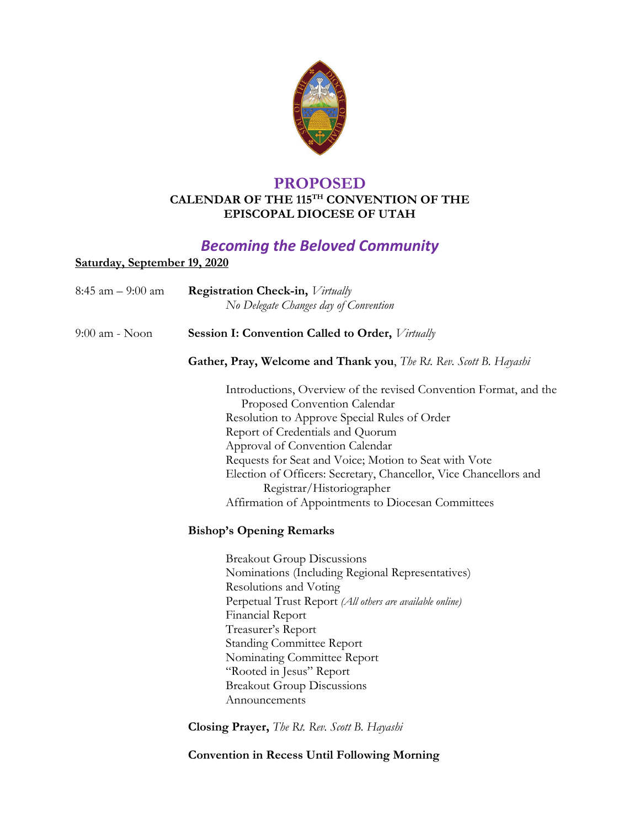

### **PROPOSED CALENDAR OF THE 115TH CONVENTION OF THE EPISCOPAL DIOCESE OF UTAH**

# *Becoming the Beloved Community*

## **Saturday, September 19, 2020**

| $8:45$ am $-9:00$ am | Registration Check-in, Virtually<br>No Delegate Changes day of Convention                                                                                                                                                                                                                                                                                                         |
|----------------------|-----------------------------------------------------------------------------------------------------------------------------------------------------------------------------------------------------------------------------------------------------------------------------------------------------------------------------------------------------------------------------------|
| 9:00 am - Noon       | <b>Session I: Convention Called to Order,</b> Virtually                                                                                                                                                                                                                                                                                                                           |
|                      | <b>Gather, Pray, Welcome and Thank you</b> , <i>The Rt. Rev. Scott B. Hayashi</i>                                                                                                                                                                                                                                                                                                 |
|                      | Introductions, Overview of the revised Convention Format, and the<br>Proposed Convention Calendar<br>Resolution to Approve Special Rules of Order<br>Report of Credentials and Quorum<br>Approval of Convention Calendar<br>Requests for Seat and Voice; Motion to Seat with Vote<br>Election of Officers: Secretary, Chancellor, Vice Chancellors and                            |
|                      | Registrar/Historiographer                                                                                                                                                                                                                                                                                                                                                         |
|                      | Affirmation of Appointments to Diocesan Committees                                                                                                                                                                                                                                                                                                                                |
|                      | <b>Bishop's Opening Remarks</b>                                                                                                                                                                                                                                                                                                                                                   |
|                      | <b>Breakout Group Discussions</b><br>Nominations (Including Regional Representatives)<br>Resolutions and Voting<br>Perpetual Trust Report (All others are available online)<br><b>Financial Report</b><br>Treasurer's Report<br><b>Standing Committee Report</b><br>Nominating Committee Report<br>"Rooted in Jesus" Report<br><b>Breakout Group Discussions</b><br>Announcements |
|                      | <b>Closing Prayer,</b> The Rt. Rev. Scott B. Hayashi                                                                                                                                                                                                                                                                                                                              |
|                      | <b>Convention in Recess Until Following Morning</b>                                                                                                                                                                                                                                                                                                                               |